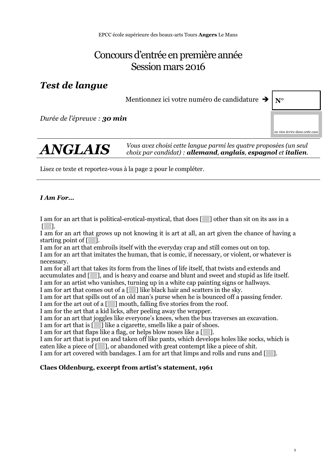EPCC école supérieure des beaux-arts Tours **Angers** Le Mans

# Concours d'entrée en première année Session mars 2016

## *Test de langue*

Mentionnez ici votre numéro de candidature  $\rightarrow |N^{\circ}|$ 

*Durée de l'épreuve : 30 min*

*ne rien écrire dans cette case*

*ANGLAIS Vous avez choisi cette langue parmi les quatre proposées (un seul choix par candidat) : allemand, anglais, espagnol et italien.*

Lisez ce texte et reportez-vous à la page 2 pour le compléter.

#### *I Am For…*

I am for an art that is political-erotical-mystical, that does [ ] other than sit on its ass in a  $\lceil$ 

I am for an art that grows up not knowing it is art at all, an art given the chance of having a starting point of [ ].

I am for an art that embroils itself with the everyday crap and still comes out on top.

I am for an art that imitates the human, that is comic, if necessary, or violent, or whatever is necessary.

I am for all art that takes its form from the lines of life itself, that twists and extends and accumulates and  $[\Box]$ , and is heavy and coarse and blunt and sweet and stupid as life itself. I am for an artist who vanishes, turning up in a white cap painting signs or hallways.

I am for art that comes out of a  $\lceil \quad \rceil$  like black hair and scatters in the sky.

I am for art that spills out of an old man's purse when he is bounced off a passing fender.

I am for the art out of a [ ] mouth, falling five stories from the roof.

I am for the art that a kid licks, after peeling away the wrapper.

I am for an art that joggles like everyone's knees, when the bus traverses an excavation.

I am for art that is [ ] like a cigarette, smells like a pair of shoes.

I am for art that flaps like a flag, or helps blow noses like a  $\lceil \quad \rceil$ .

I am for art that is put on and taken off like pants, which develops holes like socks, which is eaten like a piece of  $\lceil \quad \rceil$ , or abandoned with great contempt like a piece of shit.

I am for art covered with bandages. I am for art that limps and rolls and runs and [ ].

#### **Claes Oldenburg, excerpt from artist's statement, 1961**